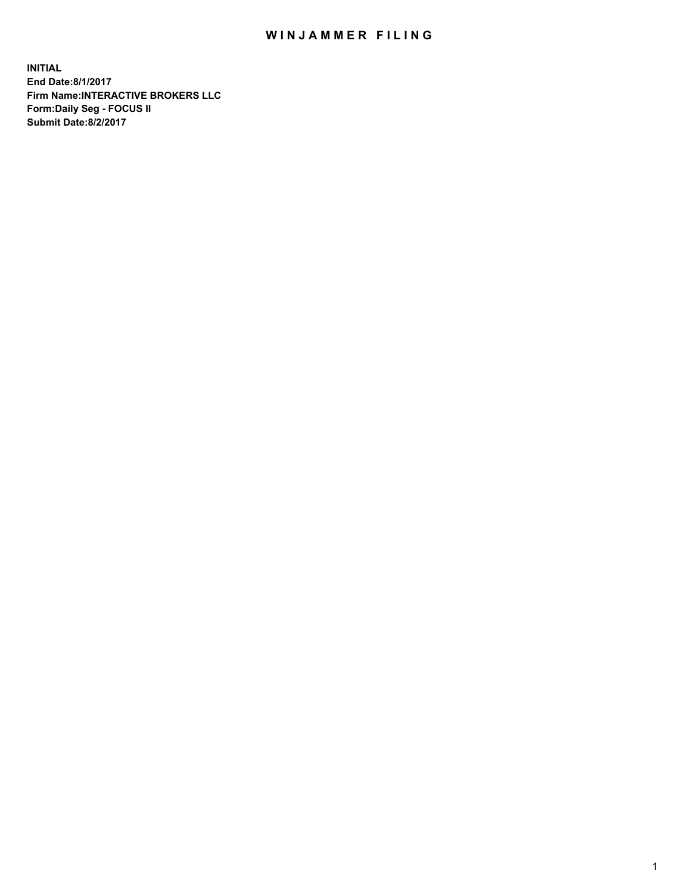## WIN JAMMER FILING

**INITIAL End Date:8/1/2017 Firm Name:INTERACTIVE BROKERS LLC Form:Daily Seg - FOCUS II Submit Date:8/2/2017**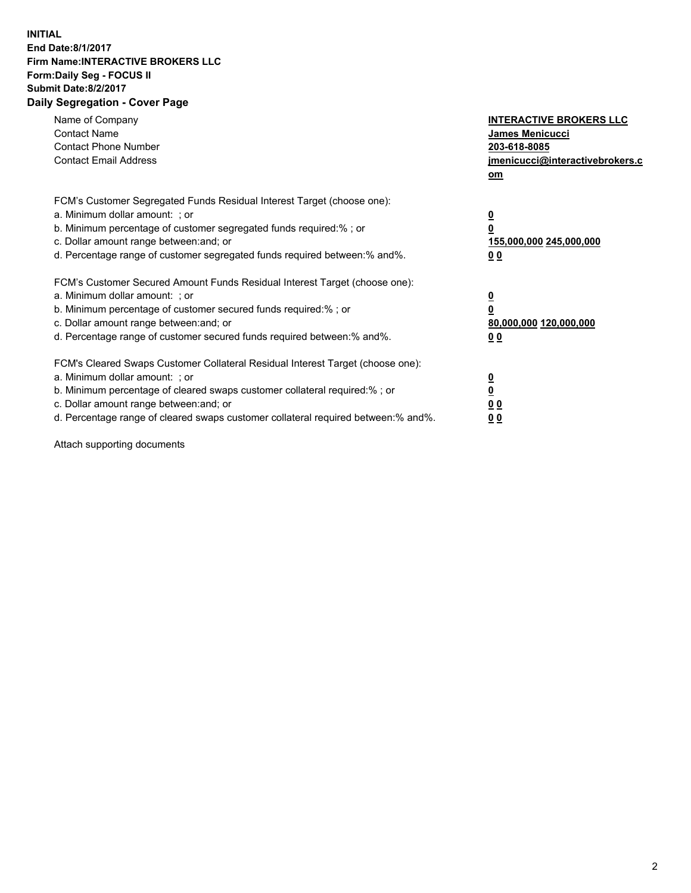## **INITIAL End Date:8/1/2017 Firm Name:INTERACTIVE BROKERS LLC Form:Daily Seg - FOCUS II Submit Date:8/2/2017 Daily Segregation - Cover Page**

| Name of Company<br><b>Contact Name</b><br><b>Contact Phone Number</b><br><b>Contact Email Address</b>                                                                                                                                                                                                                          | <b>INTERACTIVE BROKERS LLC</b><br>James Menicucci<br>203-618-8085<br>jmenicucci@interactivebrokers.c<br>om |
|--------------------------------------------------------------------------------------------------------------------------------------------------------------------------------------------------------------------------------------------------------------------------------------------------------------------------------|------------------------------------------------------------------------------------------------------------|
| FCM's Customer Segregated Funds Residual Interest Target (choose one):<br>a. Minimum dollar amount: ; or<br>b. Minimum percentage of customer segregated funds required:%; or<br>c. Dollar amount range between: and; or<br>d. Percentage range of customer segregated funds required between:% and%.                          | $\overline{\mathbf{0}}$<br>$\overline{\mathbf{0}}$<br>155,000,000 245,000,000<br>00                        |
| FCM's Customer Secured Amount Funds Residual Interest Target (choose one):<br>a. Minimum dollar amount: ; or<br>b. Minimum percentage of customer secured funds required:%; or<br>c. Dollar amount range between: and; or<br>d. Percentage range of customer secured funds required between: % and %.                          | $\overline{\mathbf{0}}$<br>$\mathbf 0$<br>80,000,000 120,000,000<br>00                                     |
| FCM's Cleared Swaps Customer Collateral Residual Interest Target (choose one):<br>a. Minimum dollar amount: ; or<br>b. Minimum percentage of cleared swaps customer collateral required:% ; or<br>c. Dollar amount range between: and; or<br>d. Percentage range of cleared swaps customer collateral required between:% and%. | $\overline{\mathbf{0}}$<br>$\underline{\mathbf{0}}$<br>0 <sub>0</sub><br>0 <sub>0</sub>                    |

Attach supporting documents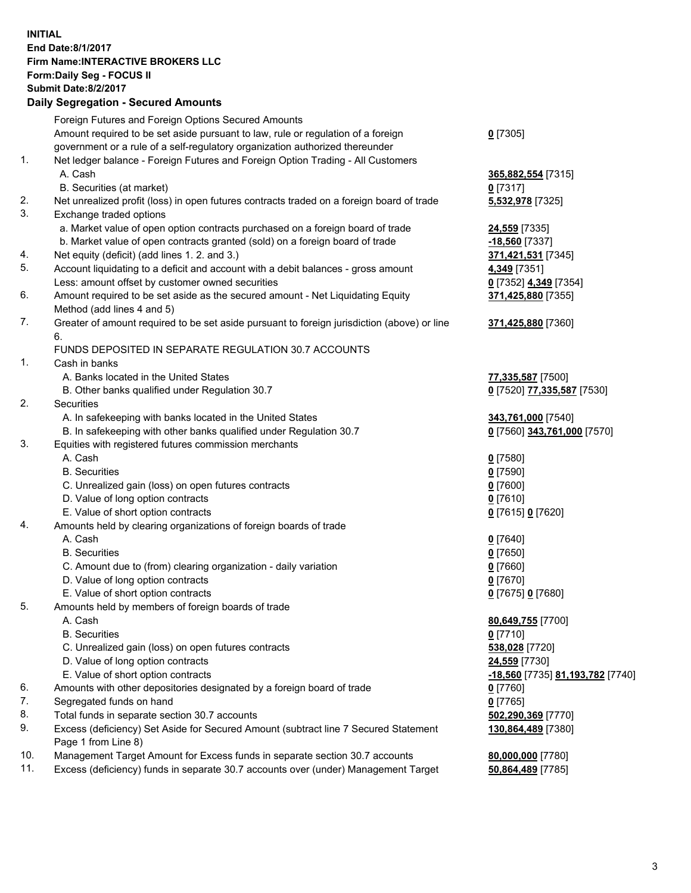## **INITIAL End Date:8/1/2017 Firm Name:INTERACTIVE BROKERS LLC Form:Daily Seg - FOCUS II Submit Date:8/2/2017 Daily Segregation - Secured Amounts**

|     | Foreign Futures and Foreign Options Secured Amounts                                         |                                  |
|-----|---------------------------------------------------------------------------------------------|----------------------------------|
|     | Amount required to be set aside pursuant to law, rule or regulation of a foreign            | $0$ [7305]                       |
|     | government or a rule of a self-regulatory organization authorized thereunder                |                                  |
| 1.  | Net ledger balance - Foreign Futures and Foreign Option Trading - All Customers             |                                  |
|     | A. Cash                                                                                     | 365,882,554 [7315]               |
|     | B. Securities (at market)                                                                   | $0$ [7317]                       |
| 2.  | Net unrealized profit (loss) in open futures contracts traded on a foreign board of trade   | 5,532,978 [7325]                 |
| 3.  | Exchange traded options                                                                     |                                  |
|     |                                                                                             |                                  |
|     | a. Market value of open option contracts purchased on a foreign board of trade              | 24,559 [7335]                    |
|     | b. Market value of open contracts granted (sold) on a foreign board of trade                | $-18,560$ [7337]                 |
| 4.  | Net equity (deficit) (add lines 1.2. and 3.)                                                | 371,421,531 [7345]               |
| 5.  | Account liquidating to a deficit and account with a debit balances - gross amount           | 4,349 [7351]                     |
|     | Less: amount offset by customer owned securities                                            | 0 [7352] 4,349 [7354]            |
| 6.  | Amount required to be set aside as the secured amount - Net Liquidating Equity              | 371,425,880 [7355]               |
|     | Method (add lines 4 and 5)                                                                  |                                  |
| 7.  | Greater of amount required to be set aside pursuant to foreign jurisdiction (above) or line | 371,425,880 [7360]               |
|     | 6.                                                                                          |                                  |
|     | FUNDS DEPOSITED IN SEPARATE REGULATION 30.7 ACCOUNTS                                        |                                  |
| 1.  | Cash in banks                                                                               |                                  |
|     | A. Banks located in the United States                                                       | 77,335,587 [7500]                |
|     | B. Other banks qualified under Regulation 30.7                                              | 0 [7520] 77,335,587 [7530]       |
| 2.  | Securities                                                                                  |                                  |
|     | A. In safekeeping with banks located in the United States                                   | 343,761,000 [7540]               |
|     | B. In safekeeping with other banks qualified under Regulation 30.7                          | 0 [7560] 343,761,000 [7570]      |
| 3.  | Equities with registered futures commission merchants                                       |                                  |
|     | A. Cash                                                                                     | $0$ [7580]                       |
|     | <b>B.</b> Securities                                                                        | $0$ [7590]                       |
|     | C. Unrealized gain (loss) on open futures contracts                                         | $0$ [7600]                       |
|     | D. Value of long option contracts                                                           | $0$ [7610]                       |
|     | E. Value of short option contracts                                                          | 0 [7615] 0 [7620]                |
| 4.  | Amounts held by clearing organizations of foreign boards of trade                           |                                  |
|     | A. Cash                                                                                     | $0$ [7640]                       |
|     | <b>B.</b> Securities                                                                        | $0$ [7650]                       |
|     | C. Amount due to (from) clearing organization - daily variation                             | $0$ [7660]                       |
|     | D. Value of long option contracts                                                           | $0$ [7670]                       |
|     | E. Value of short option contracts                                                          | 0 [7675] 0 [7680]                |
| 5.  | Amounts held by members of foreign boards of trade                                          |                                  |
|     | A. Cash                                                                                     | 80,649,755 [7700]                |
|     | <b>B.</b> Securities                                                                        | $0$ [7710]                       |
|     |                                                                                             |                                  |
|     | C. Unrealized gain (loss) on open futures contracts                                         | 538,028 [7720]                   |
|     | D. Value of long option contracts                                                           | 24,559 [7730]                    |
|     | E. Value of short option contracts                                                          | -18,560 [7735] 81,193,782 [7740] |
| 6.  | Amounts with other depositories designated by a foreign board of trade                      | $0$ [7760]                       |
| 7.  | Segregated funds on hand                                                                    | $0$ [7765]                       |
| 8.  | Total funds in separate section 30.7 accounts                                               | 502,290,369 [7770]               |
| 9.  | Excess (deficiency) Set Aside for Secured Amount (subtract line 7 Secured Statement         | 130,864,489 [7380]               |
|     | Page 1 from Line 8)                                                                         |                                  |
| 10. | Management Target Amount for Excess funds in separate section 30.7 accounts                 | 80,000,000 [7780]                |
| 11. | Excess (deficiency) funds in separate 30.7 accounts over (under) Management Target          | 50,864,489 [7785]                |
|     |                                                                                             |                                  |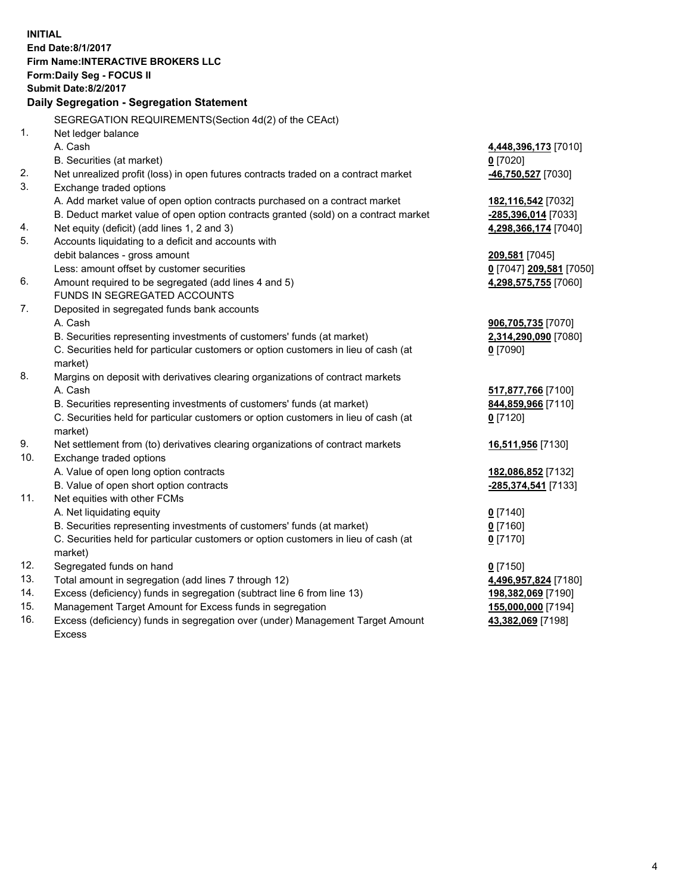**INITIAL End Date:8/1/2017 Firm Name:INTERACTIVE BROKERS LLC Form:Daily Seg - FOCUS II Submit Date:8/2/2017 Daily Segregation - Segregation Statement** SEGREGATION REQUIREMENTS(Section 4d(2) of the CEAct) 1. Net ledger balance A. Cash **4,448,396,173** [7010] B. Securities (at market) **0** [7020] 2. Net unrealized profit (loss) in open futures contracts traded on a contract market **-46,750,527** [7030] 3. Exchange traded options A. Add market value of open option contracts purchased on a contract market **182,116,542** [7032] B. Deduct market value of open option contracts granted (sold) on a contract market **-285,396,014** [7033] 4. Net equity (deficit) (add lines 1, 2 and 3) **4,298,366,174** [7040] 5. Accounts liquidating to a deficit and accounts with debit balances - gross amount **209,581** [7045] Less: amount offset by customer securities **0** [7047] **209,581** [7050] 6. Amount required to be segregated (add lines 4 and 5) **4,298,575,755** [7060] FUNDS IN SEGREGATED ACCOUNTS 7. Deposited in segregated funds bank accounts A. Cash **906,705,735** [7070] B. Securities representing investments of customers' funds (at market) **2,314,290,090** [7080] C. Securities held for particular customers or option customers in lieu of cash (at market) **0** [7090] 8. Margins on deposit with derivatives clearing organizations of contract markets A. Cash **517,877,766** [7100] B. Securities representing investments of customers' funds (at market) **844,859,966** [7110] C. Securities held for particular customers or option customers in lieu of cash (at market) **0** [7120] 9. Net settlement from (to) derivatives clearing organizations of contract markets **16,511,956** [7130] 10. Exchange traded options A. Value of open long option contracts **182,086,852** [7132] B. Value of open short option contracts **-285,374,541** [7133] 11. Net equities with other FCMs A. Net liquidating equity **0** [7140] B. Securities representing investments of customers' funds (at market) **0** [7160] C. Securities held for particular customers or option customers in lieu of cash (at market) **0** [7170] 12. Segregated funds on hand **0** [7150] 13. Total amount in segregation (add lines 7 through 12) **4,496,957,824** [7180] 14. Excess (deficiency) funds in segregation (subtract line 6 from line 13) **198,382,069** [7190] 15. Management Target Amount for Excess funds in segregation **155,000,000** [7194] 16. Excess (deficiency) funds in segregation over (under) Management Target Amount **43,382,069** [7198]

Excess